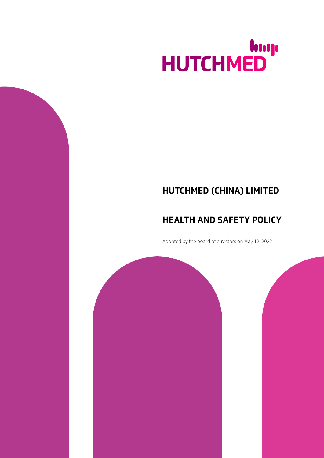# HUTCHMED

## **HUTCHMED (CHINA) LIMITED**

## **HEALTH AND SAFETY POLICY**

Adopted by the board of directors on May 12, 2022

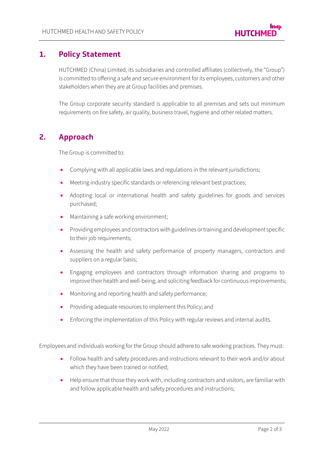#### **1. Policy Statement**

HUTCHMED (China) Limited, its subsidiaries and controlled affiliates (collectively, the "Group") is committed to offering a safe and secure environment for its employees, customers and other stakeholders when they are at Group facilities and premises.

The Group corporate security standard is applicable to all premises and sets out minimum requirements on fire safety, air quality, business travel, hygiene and other related matters.

#### **2. Approach**

The Group is committed to:

- Complying with all applicable laws and regulations in the relevant jurisdictions;
- Meeting industry specific standards or referencing relevant best practices;
- Adopting local or international health and safety guidelines for goods and services purchased;
- Maintaining a safe working environment;
- Providing employees and contractors with guidelines or training and development specific to their job requirements;
- Assessing the health and safety performance of property managers, contractors and suppliers on a regular basis;
- Engaging employees and contractors through information sharing and programs to improve their health and well-being; and soliciting feedback for continuous improvements;
- Monitoring and reporting health and safety performance;
- Providing adequate resources to implement this Policy; and
- Enforcing the implementation of this Policy with regular reviews and internal audits.

Employees and individuals working for the Group should adhere to safe working practices. They must:

- Follow health and safety procedures and instructions relevant to their work and/or about which they have been trained or notified;
- Help ensure that those they work with, including contractors and visitors, are familiar with and follow applicable health and safety procedures and instructions;